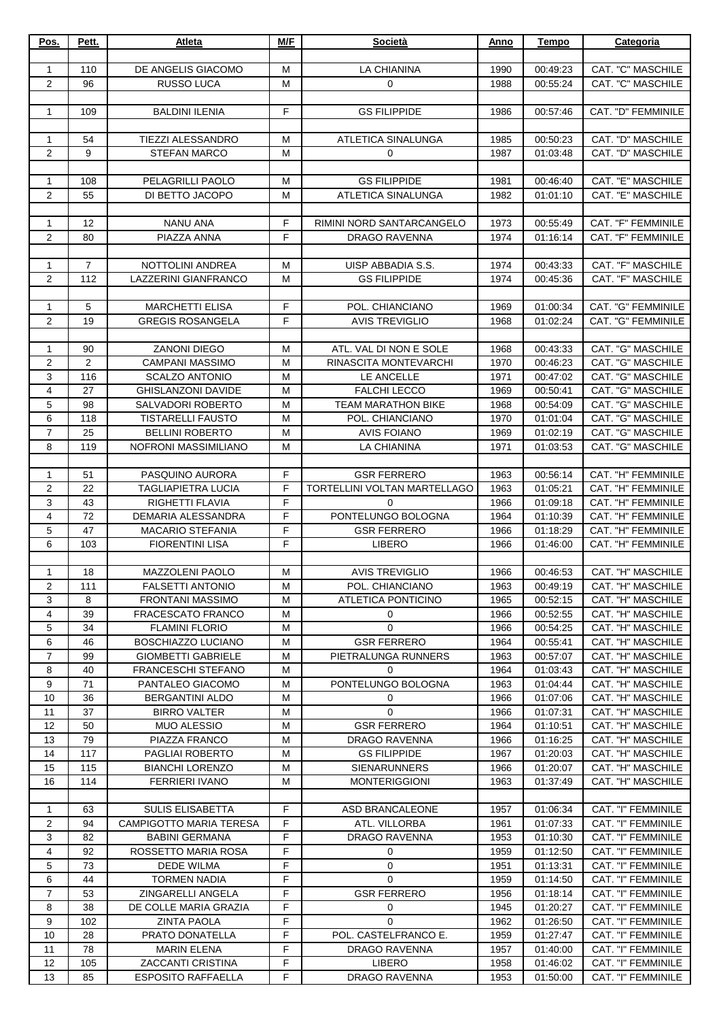| Pos.                | Pett.          | Atleta                                                | M/F            | Società                                          | Anno         | <b>Tempo</b>         | Categoria                                |
|---------------------|----------------|-------------------------------------------------------|----------------|--------------------------------------------------|--------------|----------------------|------------------------------------------|
|                     |                |                                                       |                |                                                  |              |                      |                                          |
| $\mathbf{1}$        | 110            | DE ANGELIS GIACOMO                                    | M              | LA CHIANINA                                      | 1990         | 00:49:23             | CAT. "C" MASCHILE                        |
| $\mathbf{2}$        | 96             | RUSSO LUCA                                            | M              | $\mathbf 0$                                      | 1988         | 00:55:24             | CAT. "C" MASCHILE                        |
|                     |                |                                                       |                |                                                  |              |                      |                                          |
| $\mathbf{1}$        | 109            | <b>BALDINI ILENIA</b>                                 | $\mathsf F$    | <b>GS FILIPPIDE</b>                              | 1986         | 00:57:46             | CAT. "D" FEMMINILE                       |
| $\mathbf{1}$        | 54             | <b>TIEZZI ALESSANDRO</b>                              | M              | ATLETICA SINALUNGA                               | 1985         | 00:50:23             | CAT. "D" MASCHILE                        |
| $\overline{c}$      | 9              | <b>STEFAN MARCO</b>                                   | м              | 0                                                | 1987         | 01:03:48             | CAT. "D" MASCHILE                        |
|                     |                |                                                       |                |                                                  |              |                      |                                          |
| 1                   | 108            | PELAGRILLI PAOLO                                      | м              | <b>GS FILIPPIDE</b>                              | 1981         | 00:46:40             | CAT. "E" MASCHILE                        |
| $\overline{2}$      | 55             | DI BETTO JACOPO                                       | M              | ATLETICA SINALUNGA                               | 1982         | 01:01:10             | CAT. "E" MASCHILE                        |
|                     |                |                                                       |                |                                                  |              |                      |                                          |
| 1                   | 12             | NANU ANA                                              | F              | RIMINI NORD SANTARCANGELO                        | 1973         | 00:55:49             | CAT. "F" FEMMINILE                       |
| $\overline{2}$      | 80             | PIAZZA ANNA                                           | E              | <b>DRAGO RAVENNA</b>                             | 1974         | 01:16:14             | CAT. "F" FEMMINILE                       |
|                     |                |                                                       |                |                                                  |              |                      |                                          |
| $\mathbf{1}$        | $\overline{7}$ | NOTTOLINI ANDREA                                      | M              | UISP ABBADIA S.S.                                | 1974         | 00:43:33             | CAT. "F" MASCHILE                        |
| $\mathbf{2}$        | 112            | LAZZERINI GIANFRANCO                                  | M              | <b>GS FILIPPIDE</b>                              | 1974         | 00:45:36             | CAT. "F" MASCHILE                        |
|                     |                |                                                       |                |                                                  |              |                      |                                          |
| 1                   | 5              | <b>MARCHETTI ELISA</b>                                | F              | POL. CHIANCIANO                                  | 1969         | 01:00:34             | CAT. "G" FEMMINILE                       |
| $\mathbf{2}$        | 19             | <b>GREGIS ROSANGELA</b>                               | $\mathsf F$    | <b>AVIS TREVIGLIO</b>                            | 1968         | 01:02:24             | CAT. "G" FEMMINILE                       |
|                     |                |                                                       |                |                                                  |              |                      |                                          |
| 1                   | 90             | <b>ZANONI DIEGO</b>                                   | M              | ATL. VAL DI NON E SOLE                           | 1968         | 00:43:33             | CAT. "G" MASCHILE                        |
| 2                   | $\overline{2}$ | <b>CAMPANI MASSIMO</b>                                | M              | RINASCITA MONTEVARCHI                            | 1970         | 00:46:23             | CAT. "G" MASCHILE                        |
| 3<br>$\overline{4}$ | 116<br>27      | <b>SCALZO ANTONIO</b>                                 | M<br>M         | LE ANCELLE                                       | 1971<br>1969 | 00:47:02             | CAT. "G" MASCHILE<br>CAT. "G" MASCHILE   |
| 5                   | 98             | <b>GHISLANZONI DAVIDE</b><br><b>SALVADORI ROBERTO</b> | M              | <b>FALCHI LECCO</b><br><b>TEAM MARATHON BIKE</b> | 1968         | 00:50:41<br>00:54:09 | CAT. "G" MASCHILE                        |
| 6                   | 118            | <b>TISTARELLI FAUSTO</b>                              | M              | POL. CHIANCIANO                                  | 1970         | 01:01:04             | CAT. "G" MASCHILE                        |
| $\overline{7}$      | 25             | <b>BELLINI ROBERTO</b>                                | M              | <b>AVIS FOIANO</b>                               | 1969         | 01:02:19             | CAT. "G" MASCHILE                        |
| 8                   | 119            | NOFRONI MASSIMILIANO                                  | M              | LA CHIANINA                                      | 1971         | 01:03:53             | CAT. "G" MASCHILE                        |
|                     |                |                                                       |                |                                                  |              |                      |                                          |
| 1                   | 51             | PASQUINO AURORA                                       | F              | <b>GSR FERRERO</b>                               | 1963         | 00:56:14             | CAT. "H" FEMMINILE                       |
| $\overline{c}$      | 22             | <b>TAGLIAPIETRA LUCIA</b>                             | F              | TORTELLINI VOLTAN MARTELLAGO                     | 1963         | 01:05:21             | CAT. "H" FEMMINILE                       |
| 3                   | 43             | RIGHETTI FLAVIA                                       | F              | $\mathbf 0$                                      | 1966         | 01:09:18             | CAT. "H" FEMMINILE                       |
| 4                   | 72             | DEMARIA ALESSANDRA                                    | F              | PONTELUNGO BOLOGNA                               | 1964         | 01:10:39             | CAT. "H" FEMMINILE                       |
| 5                   | 47             | <b>MACARIO STEFANIA</b>                               | $\overline{F}$ | <b>GSR FERRERO</b>                               | 1966         | 01:18:29             | CAT. "H" FEMMINILE                       |
| $\,6$               | 103            | <b>FIORENTINI LISA</b>                                | $\mathsf F$    | <b>LIBERO</b>                                    | 1966         | 01:46:00             | CAT. "H" FEMMINILE                       |
|                     |                |                                                       |                |                                                  |              |                      |                                          |
| 1                   | 18             | <b>MAZZOLENI PAOLO</b>                                | M              | <b>AVIS TREVIGLIO</b>                            | 1966         | 00:46:53             | CAT. "H" MASCHILE                        |
| 2                   | 111            | <b>FALSETTI ANTONIO</b>                               | м              | POL. CHIANCIANO                                  | 1963         | 00:49:19             | CAT. "H" MASCHILE                        |
| 3                   | 8              | <b>FRONTANI MASSIMO</b>                               | м              | <b>ATLETICA PONTICINO</b>                        | 1965         | 00:52:15             | CAT. "H" MASCHILE                        |
| 4                   | 39             | <b>FRACESCATO FRANCO</b>                              | М              | 0                                                | 1966         | 00:52:55             | CAT. "H" MASCHILE                        |
| 5                   | 34<br>46       | <b>FLAMINI FLORIO</b>                                 | M              | $\mathbf{0}$<br><b>GSR FERRERO</b>               | 1966         | 00:54:25<br>00:55:41 | CAT. "H" MASCHILE                        |
| 6<br>$\overline{7}$ | 99             | BOSCHIAZZO LUCIANO<br><b>GIOMBETTI GABRIELE</b>       | М<br>М         | PIETRALUNGA RUNNERS                              | 1964<br>1963 | 00:57:07             | CAT. "H" MASCHILE<br>CAT. "H" MASCHILE   |
| 8                   | 40             | FRANCESCHI STEFANO                                    | M              | 0                                                | 1964         | 01:03:43             | CAT. "H" MASCHILE                        |
| 9                   | 71             | PANTALEO GIACOMO                                      | М              | PONTELUNGO BOLOGNA                               | 1963         | 01:04:44             | CAT. "H" MASCHILE                        |
| 10                  | 36             | <b>BERGANTINI ALDO</b>                                | м              | 0                                                | 1966         | 01:07:06             | CAT. "H" MASCHILE                        |
| 11                  | 37             | <b>BIRRO VALTER</b>                                   | М              | $\mathbf 0$                                      | 1966         | 01:07:31             | CAT. "H" MASCHILE                        |
| 12                  | 50             | <b>MUO ALESSIO</b>                                    | М              | <b>GSR FERRERO</b>                               | 1964         | 01:10:51             | CAT. "H" MASCHILE                        |
| 13                  | 79             | PIAZZA FRANCO                                         | M              | DRAGO RAVENNA                                    | 1966         | 01:16:25             | CAT. "H" MASCHILE                        |
| 14                  | 117            | PAGLIAI ROBERTO                                       | М              | <b>GS FILIPPIDE</b>                              | 1967         | 01:20:03             | CAT. "H" MASCHILE                        |
| 15                  | 115            | <b>BIANCHI LORENZO</b>                                | M              | <b>SIENARUNNERS</b>                              | 1966         | 01:20:07             | CAT. "H" MASCHILE                        |
| 16                  | 114            | <b>FERRIERI IVANO</b>                                 | м              | <b>MONTERIGGIONI</b>                             | 1963         | 01:37:49             | CAT. "H" MASCHILE                        |
|                     |                |                                                       |                |                                                  |              |                      |                                          |
| $\mathbf{1}$        | 63             | SULIS ELISABETTA                                      | F              | ASD BRANCALEONE                                  | 1957         | 01:06:34             | CAT. "I" FEMMINILE                       |
| 2                   | 94             | <b>CAMPIGOTTO MARIA TERESA</b>                        | F              | ATL. VILLORBA                                    | 1961         | 01:07:33             | CAT. "I" FEMMINILE                       |
| 3                   | 82             | <b>BABINI GERMANA</b>                                 | F              | DRAGO RAVENNA                                    | 1953         | 01:10:30             | CAT. "I" FEMMINILE                       |
| 4                   | 92             | ROSSETTO MARIA ROSA                                   | F              | 0                                                | 1959         | 01:12:50             | CAT. "I" FEMMINILE                       |
| 5<br>6              | 73<br>44       | <b>DEDE WILMA</b>                                     | F<br>F         | 0<br>$\mathbf 0$                                 | 1951         | 01:13:31<br>01:14:50 | CAT. "I" FEMMINILE<br>CAT. "I" FEMMINILE |
| $\overline{7}$      | 53             | <b>TORMEN NADIA</b><br>ZINGARELLI ANGELA              | F              | <b>GSR FERRERO</b>                               | 1959<br>1956 | 01:18:14             | CAT. "I" FEMMINILE                       |
| 8                   | 38             | DE COLLE MARIA GRAZIA                                 | F              | 0                                                | 1945         | 01:20:27             | CAT. "I" FEMMINILE                       |
| 9                   | 102            | <b>ZINTA PAOLA</b>                                    | F              | $\mathbf 0$                                      | 1962         | 01:26:50             | CAT. "I" FEMMINILE                       |
| 10                  | 28             | PRATO DONATELLA                                       | F              | POL. CASTELFRANCO E.                             | 1959         | 01:27:47             | CAT. "I" FEMMINILE                       |
| 11                  | 78             | <b>MARIN ELENA</b>                                    | F              | <b>DRAGO RAVENNA</b>                             | 1957         | 01:40:00             | CAT. "I" FEMMINILE                       |
| 12                  | 105            | <b>ZACCANTI CRISTINA</b>                              | $\mathsf F$    | <b>LIBERO</b>                                    | 1958         | 01:46:02             | CAT. "I" FEMMINILE                       |
| 13                  | 85             | <b>ESPOSITO RAFFAELLA</b>                             | F              | DRAGO RAVENNA                                    | 1953         | 01:50:00             | CAT. "I" FEMMINILE                       |